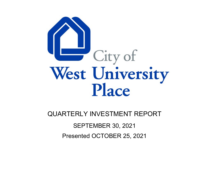

QUARTERLY INVESTMENT REPORT

SEPTEMBER 30, 2021

Presented OCTOBER 25, 2021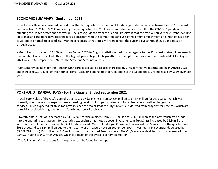# **ECONOMIC SUMMARY ‐ September 2021**

‐ The Federal Reserve convened twice during the third quarter. The overnight funds target rate remains unchanged at 0.25%. The last decrease from 1.25% to 0.25% was during the first quarter of 2020. The current rate is <sup>a</sup> direct result of the COVID‐19 pandemic affecting the United States and the world. The latest guidance from the Federal Reserve is that the rate will stayat the current level until labor market conditions have reached levels consistent with the committee's analysis of maximum employment and inflation has risen to 2% and is on track to exceed 2%. Market consensus is that rates will remain near the current levels through 2021 and possibly through 2022.

‐ Metro Houston gained 139,400 jobs from August 2020 to August statistics noted that in regards to the 12 largest metropolitan areas in the country, Houston ranked 5th with the highest percentage of job growth. The unemployment rate for the Houston MSA for August 2021 was 6.1% compared to 5.9% for the State and 5.2% nationwide.

‐ Consumer Price Index for the Houston MSA core based statistical area increased by 0.7% for the two months ending in August 2021 and increased 5.3% over last year, for all items. Excluding energy (motor fuels and electricity) and food, CPI increased by 3.5% over last year.

# **PORTFOLIO TRANSACTIONS ‐ For the Quarter Ended September 2021**

‐ Total Book Value of the City's portfolio decreased by \$2,145,784 from \$46.9, million to \$44.7 million for the quarter, which was primarily due to operating expenditures exceeding receipts of property, sales, and franchise taxes as well as charges for services. This is expected for this time of year, since the majority of the City's revenue is derived from property tax receipts, which are primairily received during the first and fourth quarters of each year.

‐ Investments in TexPool decreased by \$3,962,964 for the quarter, from \$15.1 million to \$11.1 million as the City transferred funds into the operating cash account for operating expenditures as noted above. Investments in TexasClass increased by \$1.9 million, which is due to American Rescue Plan Act funds received. Cash in JP Morgan Chase Bank increased by \$5 million for the quarter, from \$982 thousand to \$5.94 million due to the maturity of <sup>a</sup> Treasury note on September 30th. Investments in securities decreased by \$5,068,787 from \$15.1 million to \$10 million due to the matured Treasury note. The City's average yield to maturity decreased from 0.045% in June to 0.034% in August, which is <sup>a</sup> result of the overall economic situation.

‐ The full listing of transactions for the quarter can be found in the report.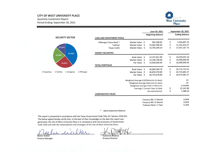# **CITY OF WEST UNIVERSITY PLACE**

**Quarterly Investment Report** Period Ending: September 30, 2021



|              |                                    |            |                                  |                                          |      | June 30, 2021                       | <b>September 30, 2021</b> |
|--------------|------------------------------------|------------|----------------------------------|------------------------------------------|------|-------------------------------------|---------------------------|
|              |                                    |            |                                  |                                          |      | <b>Beginning Balance</b>            | <b>Ending Balance</b>     |
|              | <b>SECURITY SECTOR</b>             |            | <b>CASH AND INVESTMENT POOLS</b> |                                          |      |                                     |                           |
|              |                                    |            | JPMorgan Chase Bank *            | Market Value \$                          |      | 982,588.82                          | \$<br>5,936,897.25        |
|              |                                    |            | <b>TexPool</b>                   | <b>Market Value</b>                      | Ŝ.   | 15,064,580.83                       | \$<br>11,101,616.37       |
|              | 13.29%                             |            | <b>Texas CLASS</b>               | Market Value \$                          |      | 15,705,509.24                       | \$<br>17,637,167.75       |
|              | 39.48%<br>22.38%                   |            | <b>AGENCY SECURITIES</b>         |                                          |      |                                     |                           |
|              |                                    |            |                                  | Book Value \$                            |      | 15,107,821.89                       | \$<br>10,039,035.18       |
|              |                                    |            |                                  | <b>Market Value</b>                      | -Ŝ   | 15,106,700.00                       | \$<br>10,048,000.00       |
|              | 24.85%                             |            | <b>TOTAL PORTFOLIO</b>           | Par Value \$                             |      | 15,000,000.00                       | \$<br>10,000,000.00       |
|              |                                    |            |                                  |                                          |      |                                     |                           |
|              |                                    |            |                                  | <b>Book Value</b>                        | - \$ | 46,860,500.78                       | \$<br>44,714,716.55       |
| ■ TexasClass | <b>TexPool</b><br><b>US Agency</b> | ■ JPMorgan |                                  | <b>Market Value</b>                      | Ŝ    | 46,859,378.89                       | \$<br>44,723,681.37       |
|              |                                    |            |                                  | Par Value \$                             |      | 46,752,678.89                       | \$<br>44,675,681.37       |
|              |                                    |            |                                  | Weighted Average Call/Maturity (in days) |      |                                     | 19                        |
|              |                                    |            |                                  |                                          |      | Weighted Average Maturity (in days) | 19                        |
|              |                                    |            |                                  |                                          |      | Weighted Average Yield to Maturity  | 0.0340%                   |
|              |                                    |            |                                  |                                          |      | Earnings / Current Year to Date     | \$<br>25,141.89           |
|              |                                    |            |                                  |                                          |      | <b>Accrued Interest</b>             | \$<br>1,588.56            |
|              |                                    |            | <b>COMPARATIVE YIELDS</b>        |                                          |      |                                     |                           |
|              |                                    |            |                                  |                                          |      | Treasury Bill / 3 Month             | 0.04%                     |
|              |                                    |            |                                  |                                          |      | Treasury Bill / 6 Month             | 0.05%                     |
|              |                                    |            |                                  |                                          |      | Treasury Note / 2 Year              | 0.24%                     |

### \* Bank Statement Balance

This report is presented in accordance with the Texas Government Code Title 10 / Section 2256.023. The below signed hereby certify that, to the best of their knowledge on the date this report was generated, the City of West University Place is in compliance with the provisions of Government Code 2256 and with the stated policies and strategies of the City of West University Place.

Katherine DuBose

Neelie Walker **Finance Manager** 

**Finance Director**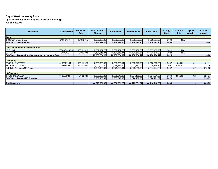## **City of West University Place Quarterly Investment Report - Portfolio Holdings As of 9/30/2021**

| <b>Description</b>                                   | <b>CUSIP/Ticker</b> | <b>Settlement</b><br><b>Date</b> | <b>Face Amount/</b><br><b>Shares</b> | <b>Cost Value</b> | <b>Market Value</b> | <b>Book Value</b> | YTM @<br>Cost | <b>Maturity</b><br><b>Date</b> | Days To<br><b>Maturity</b> | <b>Accrued</b><br><b>Interest</b> |
|------------------------------------------------------|---------------------|----------------------------------|--------------------------------------|-------------------|---------------------|-------------------|---------------|--------------------------------|----------------------------|-----------------------------------|
| Cash                                                 |                     |                                  |                                      |                   |                     |                   |               |                                |                            |                                   |
| JPMorgan Chase Cash                                  | <b>CASH8159</b>     | 12/31/2015                       | 5,936,897.25                         | 5,936,897.25      | 5,936,897.25        | 5,936,897.25      | 0.000         | N/A                            |                            |                                   |
| Sub Total / Average Cash                             |                     |                                  | 5,936,897.25                         | 5,936,897.25      | 5,936,897.25        | 5,936,897.25      | 0.000         |                                |                            | 0.00                              |
|                                                      |                     |                                  |                                      |                   |                     |                   |               |                                |                            |                                   |
| <b>Local Government Investment Pool</b>              |                     |                                  |                                      |                   |                     |                   |               |                                |                            |                                   |
| <b>LGIP LGIP</b>                                     | <b>TEXASCLASS</b>   | 10/26/2020                       | 17,637,167.75                        | 17,637,167.75     | 17,637,167.75       | 17,637,167.75     | 0.021         | N/A                            |                            |                                   |
| <b>LGIP LGIP</b>                                     | TEXPOOL             | 9/30/2008                        | 11,101,616.37                        | 11,101,616.37     | 11,101,616.37       | 11,101,616.37     | 0.028         | N/A                            |                            |                                   |
| Sub Total / Average Local Government Investment Pool |                     |                                  | 28,738,784.12                        | 28,738,784.12     | 28,738,784.12       | 28,738,784.12     | 0.024         |                                |                            | 0.00                              |
|                                                      |                     |                                  |                                      |                   |                     |                   |               |                                |                            |                                   |
| <b>US Agency</b>                                     |                     |                                  |                                      |                   |                     |                   |               |                                |                            |                                   |
| FFCB 0.1 11/30/2021                                  | 3133EMHS4           | 12/11/2020                       | 2,000,000.00                         | 2,000,058.11      | 2,000,720.00        | 2,000,009.99      | 0.097         | 11/30/2021                     | 61                         | 61.11                             |
| FHLB 2.625 12/10/2021                                | 313376C94           | 12/11/2020                       | 3,000,000.00                         | 3,075,564.90      | 3,023,130.00        | 3,014,734.10      | 0.097         | 12/10/2021                     | 71                         | 218.75                            |
| Sub Total / Average US Agency                        |                     |                                  | 5,000,000.00                         | 5,075,623.01      | 5,023,850.00        | 5,014,744.09      | 0.097         |                                | 67                         | 279.86                            |
|                                                      |                     |                                  |                                      |                   |                     |                   |               |                                |                            |                                   |
| <b>US Treasury</b>                                   |                     |                                  |                                      |                   |                     |                   |               |                                |                            |                                   |
| T-Note 2 12/31/2021                                  | 912828U81           | 2/10/2021                        | 5.000.000.00                         | 5.085.546.88      | 5.024.150.00        | 5.024.291.09      | 0.070         | 12/31/2021                     | 92                         | 11,325.97                         |
| Sub Total / Average US Treasury                      |                     |                                  | 5,000,000.00                         | 5,085,546.88      | 5,024,150.00        | 5,024,291.09      | 0.070         |                                | 92                         | 11,325.97                         |
|                                                      |                     |                                  |                                      |                   |                     |                   |               |                                |                            |                                   |
| <b>Total / Average</b>                               |                     |                                  | 44,675,681.37                        | 44,836,851.26     | 44,723,681.37       | 44,714,716.55     | 0.034         |                                | 19                         | 11,605.83                         |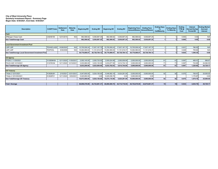#### **City of West University Place Quarterly Investment Report - Summary Page Begin Date: 6/30/2021, End Date: 9/30/2021**

| <b>Description</b>                                 | <b>CUSIP/Ticker</b> | <b>Settlement</b><br><b>Date</b> | <b>Maturity</b><br><b>Date</b> | <b>Beginning MV</b> | <b>Ending MV</b> | <b>Beginning BV</b> | <b>Ending BV</b> | <b>Beginning Face</b> | <b>Ending Face</b><br>Amount/Shares   Amount/Shares | <b>Ending Days</b><br>To:<br><b>Call/Maturity</b> | <b>Ending Days</b><br><b>To Maturity</b> | Endina<br>YTM @<br>Cost | Interest<br><b>Earned During</b><br>Period-BV | <b>Ending Market</b><br><b>Accrued</b><br><b>Interest</b> |
|----------------------------------------------------|---------------------|----------------------------------|--------------------------------|---------------------|------------------|---------------------|------------------|-----------------------|-----------------------------------------------------|---------------------------------------------------|------------------------------------------|-------------------------|-----------------------------------------------|-----------------------------------------------------------|
| Cash                                               |                     |                                  |                                |                     |                  |                     |                  |                       |                                                     |                                                   |                                          |                         |                                               |                                                           |
| JPMorgan Chase Cash                                | <b>CASH8159</b>     | 12/31/2015                       | N/A                            | 982.588.82          | 5,936,897.25     | 982,588.82          | 5,936,897.25     | 982,588.82            | 5,936,897.25                                        |                                                   |                                          | 0.000                   | 0.00                                          | N/A                                                       |
| <b>Sub Total/Average Cash</b>                      |                     |                                  |                                | 982.588.82          | 5.936.897.25     | 982,588.82          | 5,936,897.25     | 982,588.82            | 5,936,897.25                                        |                                                   |                                          | 0.000                   | 0.00                                          | 0.00                                                      |
|                                                    |                     |                                  |                                |                     |                  |                     |                  |                       |                                                     |                                                   |                                          |                         |                                               |                                                           |
| <b>Local Government Investment Pool</b>            |                     |                                  |                                |                     |                  |                     |                  |                       |                                                     |                                                   |                                          |                         |                                               |                                                           |
| <b>LGIP LGIP</b>                                   | <b>TEXASCLASS</b>   | 10/26/2020                       | N/A                            | 15.705.509.24       | 17.637.167.75    | 15,705,509.24       | 17.637.167.75    | 15.705.509.24         | 17.637.167.75                                       |                                                   |                                          | 0.021                   | 786.50                                        | N/A                                                       |
| <b>LGIP LGIP</b>                                   | <b>TEXPOOL</b>      | 9/30/2008                        | N/A                            | 15,064,580.83       | 11,101,616.37    | 15,064,580.83       | 11,101,616.37    | 15,064,580.83         | 11,101,616.37                                       |                                                   |                                          | 0.028                   | 759.84                                        | N/A                                                       |
| Sub Total/Average Local Government Investment Pool |                     |                                  |                                | 30.770.090.07       | 28.738.784.12    | 30,770,090.07       | 28,738,784.12    | 30,770,090.07         | 28,738,784.12                                       |                                                   |                                          | 0.024                   | 1,546.34                                      | 0.00                                                      |
|                                                    |                     |                                  |                                |                     |                  |                     |                  |                       |                                                     |                                                   |                                          |                         |                                               |                                                           |
| <b>US Agency</b>                                   |                     |                                  |                                |                     |                  |                     |                  |                       |                                                     |                                                   |                                          |                         |                                               |                                                           |
| FFCB 0.1 11/30/2021                                | 3133EMHS4           | 12/11/2020                       | 11/30/2021                     | 2,000,140.00        | 2,000,720.00     | 2,000,024.98        | 2,000,009.99     | 2,000,000.00          | 2,000,000.00                                        | 61                                                | 61                                       | 0.097                   | 485.01                                        | 666.67                                                    |
| FHLB 2.625 12/10/2021                              | 313376C94           | 12/11/2020                       | 12/10/2021                     | 3,033,060.00        | 3,023,130.00     | 3,033,677.95        | 3,014,734.10     | 3,000,000.00          | 3,000,000.00                                        |                                                   | 71                                       | 0.097                   | 743.65                                        | 24,062.50                                                 |
| Sub Total/Average US Agency                        |                     |                                  |                                | 5.033.200.00        | 5,023,850.00     | 5,033,702.93        | 5,014,744.09     | 5,000,000.00          | 5,000,000.00                                        | 67                                                | 67                                       | 0.097                   | 1.228.66                                      | 24,729.17                                                 |
|                                                    |                     |                                  |                                |                     |                  |                     |                  |                       |                                                     |                                                   |                                          |                         |                                               |                                                           |
| <b>US Treasury</b>                                 |                     |                                  |                                |                     |                  |                     |                  |                       |                                                     |                                                   |                                          |                         |                                               |                                                           |
| T-Note 2 12/31/2021                                | 912828U81           | 2/10/202                         | 12/31/2021                     | 5,047,650.00        | 5,024,150.00     | 5,048,582.18        | 5,024,291.09     | 5,000,000.00          | 5,000,000.00                                        | 92                                                | 92                                       | 0.070                   | 708.91                                        | 25,000.00                                                 |
| T-Note 2.125 9/30/2021                             | 912828F21           | 12/11/2020                       | 9/30/2021                      | 5,025,850.00        | 0.00             | 5,025,536.78        | 0.00             | 5,000,000.00          | 0.00                                                |                                                   |                                          |                         | 1.170.87                                      | 0.00                                                      |
| Sub Total/Average US Treasury                      |                     |                                  |                                | 10.073.500.00       | 5.024.150.00     | 10.074.118.96       | 5.024.291.09     | 10.000.000.00         | 5,000,000.00                                        | 92                                                | 92                                       | 0.070                   | 1.879.78                                      | 25,000.00                                                 |
|                                                    |                     |                                  |                                |                     |                  |                     |                  |                       |                                                     |                                                   |                                          |                         |                                               |                                                           |
| <b>Total / Average</b>                             |                     |                                  |                                | 46.859.378.89       | 44,723,681.37    | 46,860,500.78       | 44,714,716.55    | 46,752,678.89         | 44.675.681.37                                       | 19                                                |                                          | 0.034                   | 4.654.78                                      | 49,729.17                                                 |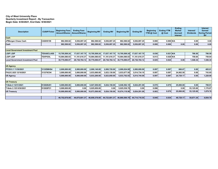### **City of West University Place Quarterly Investment Report - By Transaction Begin Date: 6/30/2021, End Date: 9/30/2021**

| <b>Description</b>                      | <b>CUSIP/Ticker</b> | <b>Beginning Face</b><br><b>Amount/Shares</b> | <b>Ending Face</b><br><b>Amount/Shares</b> | <b>Beginning MV</b> | <b>Ending MV</b> | <b>Beginning BV</b> | <b>Ending BV</b> | <b>Beginning</b><br>YTM @ Cost | <b>Ending YTM</b><br>@ Cost | <b>Ending</b><br><b>Market</b><br>Accrued<br>Interest | Interest/<br><b>Dividends</b> | <b>Interest</b><br><b>Earned</b><br><b>During Period-</b><br><b>BV</b> |
|-----------------------------------------|---------------------|-----------------------------------------------|--------------------------------------------|---------------------|------------------|---------------------|------------------|--------------------------------|-----------------------------|-------------------------------------------------------|-------------------------------|------------------------------------------------------------------------|
| Cash                                    |                     |                                               |                                            |                     |                  |                     |                  |                                |                             |                                                       |                               |                                                                        |
| JPMorgan Chase Cash                     | <b>CASH8159</b>     | 982,588.82                                    | 5,936,897.25                               | 982,588.82          | 5,936,897.25     | 982,588.82          | 5,936,897.25     | 0.000                          | $0.000$ N/A                 |                                                       | 0.00                          | 0.00                                                                   |
| Cash                                    |                     | 982.588.82                                    | 5,936,897.25                               | 982,588.82          | 5,936,897.25     | 982,588.82          | 5,936,897.25     | 0.000                          | 0.000                       | 0.00                                                  | 0.00                          | 0.00                                                                   |
|                                         |                     |                                               |                                            |                     |                  |                     |                  |                                |                             |                                                       |                               |                                                                        |
| <b>Local Government Investment Pool</b> |                     |                                               |                                            |                     |                  |                     |                  |                                |                             |                                                       |                               |                                                                        |
| <b>LGIP LGIP</b>                        | <b>TEXASCLASS</b>   | 15.705.509.24                                 | 17,637,167.75                              | 15,705,509.24       | 17.637.167.75    | 15,705,509.24       | 17.637.167.75    | 0.036                          | $0.021$ N/A                 |                                                       | 786.50                        | 786.50                                                                 |
| <b>LGIP LGIP</b>                        | <b>TEXPOOL</b>      | 15,064,580.83                                 | 11,101,616.37                              | 15,064,580.83       | 11,101,616.37    | 15,064,580.83       | 11.101.616.37    | 0.013                          | $0.028$ N/A                 |                                                       | 759.84                        | 759.84                                                                 |
| <b>Local Government Investment Pool</b> |                     | 30,770,090.07                                 | 28,738,784.12                              | 30,770,090.0        | 28,738,784.12    | 30,770,090.07       | 28,738,784.12    | 0.025                          | 0.024                       | 0.00                                                  | 1,546.34                      | 1.546.34                                                               |
|                                         |                     |                                               |                                            |                     |                  |                     |                  |                                |                             |                                                       |                               |                                                                        |
| <b>US Agency</b>                        |                     |                                               |                                            |                     |                  |                     |                  |                                |                             |                                                       |                               |                                                                        |
| FFCB 0.1 11/30/2021                     | 3133EMHS4           | 2.000.000.00                                  | 2,000,000.00                               | 2,000,140.00        | 2.000.720.00     | 2,000,024.98        | 2.000.009.99     | 0.097                          | 0.097                       | 666.67                                                | 0.00                          | 485.01                                                                 |
| FHLB 2.625 12/10/2021                   | 313376C94           | 3,000,000.00                                  | 3,000,000.00                               | 3,033,060.00        | 3,023,130.00     | 3,033,677.95        | 3,014,734.10     | 0.097                          | 0.097                       | 24.062.50                                             | 0.00                          | 743.65                                                                 |
| <b>US Agency</b>                        |                     | 5.000.000.00                                  | 5.000.000.00                               | 5,033,200.00        | 5.023.850.00     | 5.033.702.93        | 5.014.744.09     | 0.097                          | 0.097                       | 24.729.17                                             | 0.00                          | 1.228.66                                                               |
|                                         |                     |                                               |                                            |                     |                  |                     |                  |                                |                             |                                                       |                               |                                                                        |
| <b>US Treasury</b>                      |                     |                                               |                                            |                     |                  |                     |                  |                                |                             |                                                       |                               |                                                                        |
| T-Note 2 12/31/2021                     | 912828U81           | 5,000,000.00                                  | 5,000,000.00                               | 5,047,650.00        | 5,024,150.00     | 5,048,582.18        | 5,024,291.09     | 0.070                          | 0.070                       | 25.000.00                                             | 0.00                          | 708.91                                                                 |
| T-Note 2.125 9/30/2021                  | 912828F21           | 5,000,000.00                                  | 0.00                                       | 5,025,850.00        | 0.00             | 5,025,536.78        | 0.00             | 0.096                          |                             | 0.00                                                  | 53,125.00                     | 1,170.87                                                               |
| <b>US Treasury</b>                      |                     | 10,000,000.00                                 | 5,000,000.00                               | 10,073,500.00       | 5.024.150.00     | 10,074,118.96       | 5,024,291.09     | 0.083                          | 0.070                       | 25,000.00                                             | 53,125.00                     | 1.879.78                                                               |
|                                         |                     |                                               |                                            |                     |                  |                     |                  |                                |                             |                                                       |                               |                                                                        |
|                                         |                     | 46.752.678.89                                 | 44.675.681.37                              | 46.859.378.89       | 44.723.681.37    | 46.860.500.78       | 44.714.716.55    | 0.045                          | 0.034                       | 49.729.17                                             | 54.671.34                     | 4,654.78                                                               |